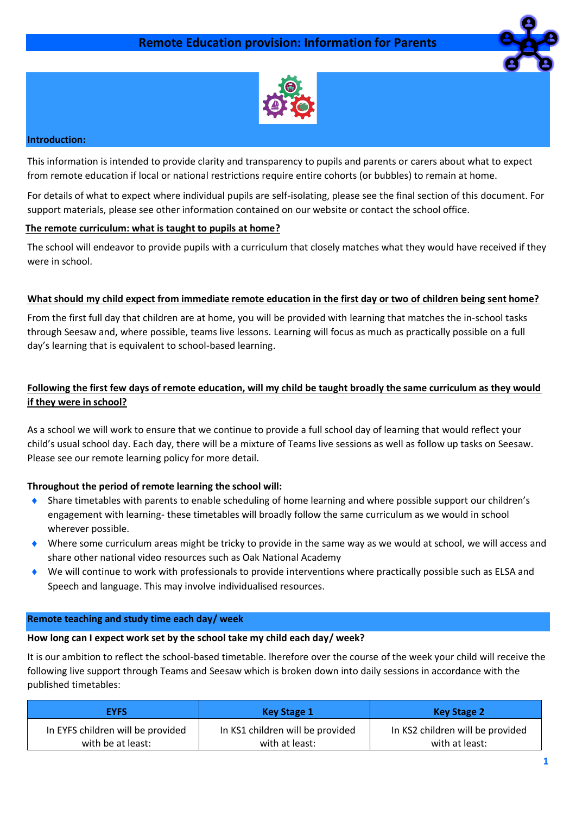



## **Introduction:**

This information is intended to provide clarity and transparency to pupils and parents or carers about what to expect from remote education if local or national restrictions require entire cohorts (or bubbles) to remain at home.

For details of what to expect where individual pupils are self-isolating, please see the final section of this document. For support materials, please see other information contained on our website or contact the school office.

### **The remote curriculum: what is taught to pupils at home?**

The school will endeavor to provide pupils with a curriculum that closely matches what they would have received if they were in school.

### **What should my child expect from immediate remote education in the first day or two of children being sent home?**

From the first full day that children are at home, you will be provided with learning that matches the in-school tasks through Seesaw and, where possible, teams live lessons. Learning will focus as much as practically possible on a full day's learning that is equivalent to school-based learning.

## **Following the first few days of remote education, will my child be taught broadly the same curriculum as they would if they were in school?**

As a school we will work to ensure that we continue to provide a full school day of learning that would reflect your child's usual school day. Each day, there will be a mixture of Teams live sessions as well as follow up tasks on Seesaw. Please see our remote learning policy for more detail.

## **Throughout the period of remote learning the school will:**

- Share timetables with parents to enable scheduling of home learning and where possible support our children's engagement with learning- these timetables will broadly follow the same curriculum as we would in school wherever possible.
- Where some curriculum areas might be tricky to provide in the same way as we would at school, we will access and share other national video resources such as Oak National Academy
- We will continue to work with professionals to provide interventions where practically possible such as ELSA and Speech and language. This may involve individualised resources.

#### **Remote teaching and study time each day/ week**

#### **How long can I expect work set by the school take my child each day/ week?**

It is our ambition to reflect the school-based timetable. lherefore over the course of the week your child will receive the following live support through Teams and Seesaw which is broken down into daily sessions in accordance with the published timetables:

| <b>EYFS</b>                       | Key Stage 1                      | <b>Key Stage 2</b>               |
|-----------------------------------|----------------------------------|----------------------------------|
| In EYFS children will be provided | In KS1 children will be provided | In KS2 children will be provided |
| with be at least:                 | with at least:                   | with at least:                   |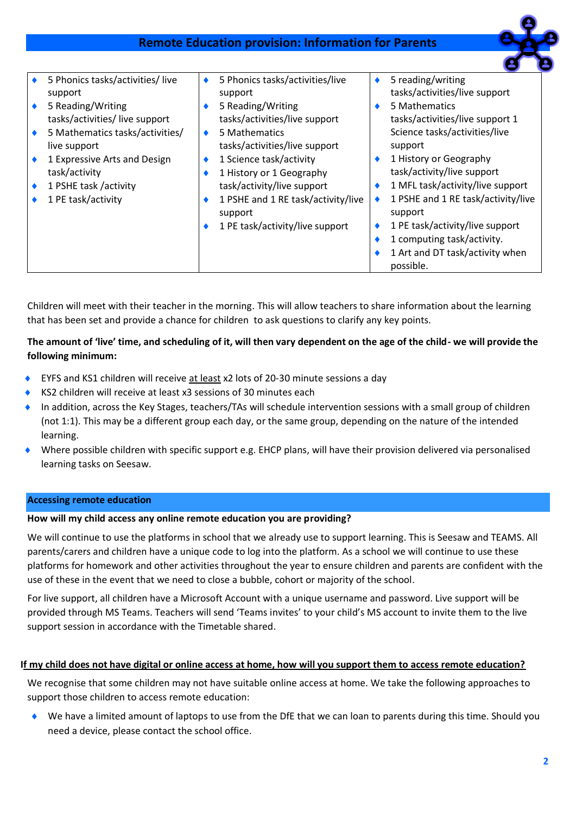# **Remote Education provision: Information for Parents**



| 5 Phonics tasks/activities/live | 5 Phonics tasks/activities/live    | 5 reading/writing                  |
|---------------------------------|------------------------------------|------------------------------------|
| support                         | support                            | tasks/activities/live support      |
| 5 Reading/Writing               | 5 Reading/Writing                  | 5 Mathematics                      |
| tasks/activities/live support   | tasks/activities/live support      | tasks/activities/live support 1    |
| 5 Mathematics tasks/activities/ | 5 Mathematics                      | Science tasks/activities/live      |
| live support                    | tasks/activities/live support      | support                            |
| 1 Expressive Arts and Design    | 1 Science task/activity            | 1 History or Geography             |
| task/activity                   | 1 History or 1 Geography           | task/activity/live support         |
| 1 PSHE task /activity           | task/activity/live support         | 1 MFL task/activity/live support   |
| 1 PE task/activity              | 1 PSHE and 1 RE task/activity/live | 1 PSHE and 1 RE task/activity/live |
|                                 | support                            | support                            |
|                                 | 1 PE task/activity/live support    | 1 PE task/activity/live support    |
|                                 |                                    | 1 computing task/activity.         |
|                                 |                                    | 1 Art and DT task/activity when    |
|                                 |                                    | possible.                          |
|                                 |                                    |                                    |

Children will meet with their teacher in the morning. This will allow teachers to share information about the learning that has been set and provide a chance for children to ask questions to clarify any key points.

## **The amount of 'live' time, and scheduling of it, will then vary dependent on the age of the child- we will provide the following minimum:**

- EYFS and KS1 children will receive at least x2 lots of 20-30 minute sessions a day
- ◆ KS2 children will receive at least x3 sessions of 30 minutes each
- In addition, across the Key Stages, teachers/TAs will schedule intervention sessions with a small group of children (not 1:1). This may be a different group each day, or the same group, depending on the nature of the intended learning.
- Where possible children with specific support e.g. EHCP plans, will have their provision delivered via personalised learning tasks on Seesaw.

#### **Accessing remote education**

#### **How will my child access any online remote education you are providing?**

We will continue to use the platforms in school that we already use to support learning. This is Seesaw and TEAMS, All parents/carers and children have a unique code to log into the platform. As a school we will continue to use these platforms for homework and other activities throughout the year to ensure children and parents are confident with the use of these in the event that we need to close a bubble, cohort or majority of the school.

For live support, all children have a Microsoft Account with a unique username and password. Live support will be provided through MS Teams. Teachers will send 'Teams invites' to your child's MS account to invite them to the live support session in accordance with the Timetable shared.

#### **If my child does not have digital or online access at home, how will you support them to access remote education?**

We recognise that some children may not have suitable online access at home. We take the following approaches to support those children to access remote education:

 We have a limited amount of laptops to use from the DfE that we can loan to parents during this time. Should you need a device, please contact the school office.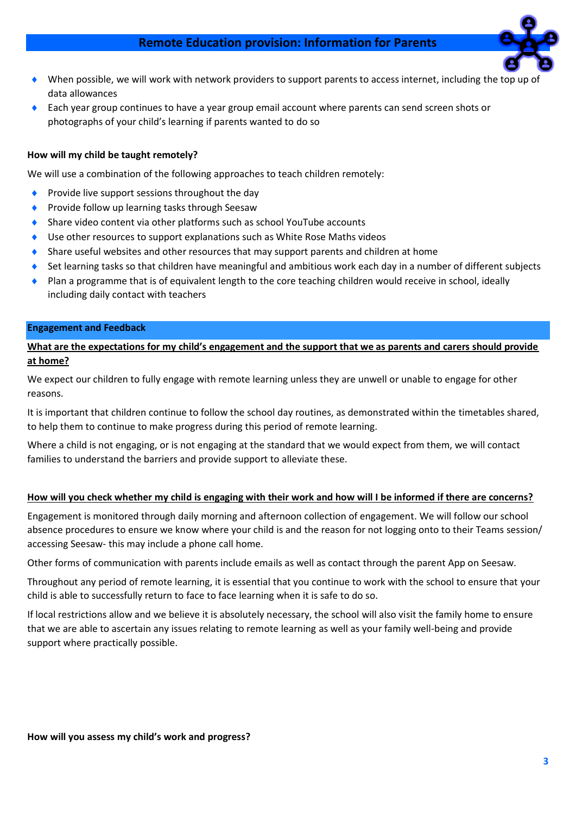# **Remote Education provision: Information for Parents**



- When possible, we will work with network providers to support parents to access internet, including the top u data allowances
- Each year group continues to have a year group email account where parents can send screen shots or photographs of your child's learning if parents wanted to do so

#### **How will my child be taught remotely?**

We will use a combination of the following approaches to teach children remotely:

- **Provide live support sessions throughout the day**
- Provide follow up learning tasks through Seesaw
- Share video content via other platforms such as school YouTube accounts
- Use other resources to support explanations such as White Rose Maths videos
- Share useful websites and other resources that may support parents and children at home
- Set learning tasks so that children have meaningful and ambitious work each day in a number of different subjects
- Plan a programme that is of equivalent length to the core teaching children would receive in school, ideally including daily contact with teachers

#### **Engagement and Feedback**

**What are the expectations for my child's engagement and the support that we as parents and carers should provide at home?**

We expect our children to fully engage with remote learning unless they are unwell or unable to engage for other reasons.

It is important that children continue to follow the school day routines, as demonstrated within the timetables shared, to help them to continue to make progress during this period of remote learning.

Where a child is not engaging, or is not engaging at the standard that we would expect from them, we will contact families to understand the barriers and provide support to alleviate these.

#### **How will you check whether my child is engaging with their work and how will I be informed if there are concerns?**

Engagement is monitored through daily morning and afternoon collection of engagement. We will follow our school absence procedures to ensure we know where your child is and the reason for not logging onto to their Teams session/ accessing Seesaw- this may include a phone call home.

Other forms of communication with parents include emails as well as contact through the parent App on Seesaw.

Throughout any period of remote learning, it is essential that you continue to work with the school to ensure that your child is able to successfully return to face to face learning when it is safe to do so.

If local restrictions allow and we believe it is absolutely necessary, the school will also visit the family home to ensure that we are able to ascertain any issues relating to remote learning as well as your family well-being and provide support where practically possible.